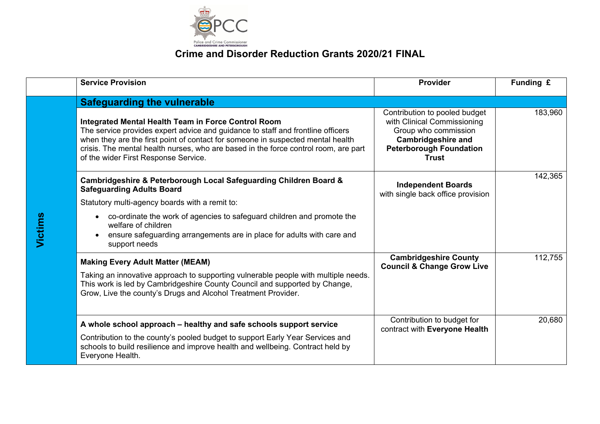

|         | <b>Service Provision</b>                                                                                                                                                                                                                                                                                                                                 | Provider                                                                                                                                                            | Funding £ |
|---------|----------------------------------------------------------------------------------------------------------------------------------------------------------------------------------------------------------------------------------------------------------------------------------------------------------------------------------------------------------|---------------------------------------------------------------------------------------------------------------------------------------------------------------------|-----------|
|         | <b>Safeguarding the vulnerable</b>                                                                                                                                                                                                                                                                                                                       |                                                                                                                                                                     |           |
|         | Integrated Mental Health Team in Force Control Room<br>The service provides expert advice and guidance to staff and frontline officers<br>when they are the first point of contact for someone in suspected mental health<br>crisis. The mental health nurses, who are based in the force control room, are part<br>of the wider First Response Service. | Contribution to pooled budget<br>with Clinical Commissioning<br>Group who commission<br><b>Cambridgeshire and</b><br><b>Peterborough Foundation</b><br><b>Trust</b> | 183,960   |
|         | Cambridgeshire & Peterborough Local Safeguarding Children Board &<br><b>Safeguarding Adults Board</b><br>Statutory multi-agency boards with a remit to:                                                                                                                                                                                                  | <b>Independent Boards</b><br>with single back office provision                                                                                                      | 142,365   |
| Victims | • co-ordinate the work of agencies to safeguard children and promote the<br>welfare of children<br>ensure safeguarding arrangements are in place for adults with care and<br>support needs                                                                                                                                                               |                                                                                                                                                                     |           |
|         | <b>Making Every Adult Matter (MEAM)</b><br>Taking an innovative approach to supporting vulnerable people with multiple needs.<br>This work is led by Cambridgeshire County Council and supported by Change,<br>Grow, Live the county's Drugs and Alcohol Treatment Provider.                                                                             | <b>Cambridgeshire County</b><br><b>Council &amp; Change Grow Live</b>                                                                                               | 112,755   |
|         | A whole school approach – healthy and safe schools support service<br>Contribution to the county's pooled budget to support Early Year Services and                                                                                                                                                                                                      | Contribution to budget for<br>contract with Everyone Health                                                                                                         | 20,680    |
|         | schools to build resilience and improve health and wellbeing. Contract held by<br>Everyone Health.                                                                                                                                                                                                                                                       |                                                                                                                                                                     |           |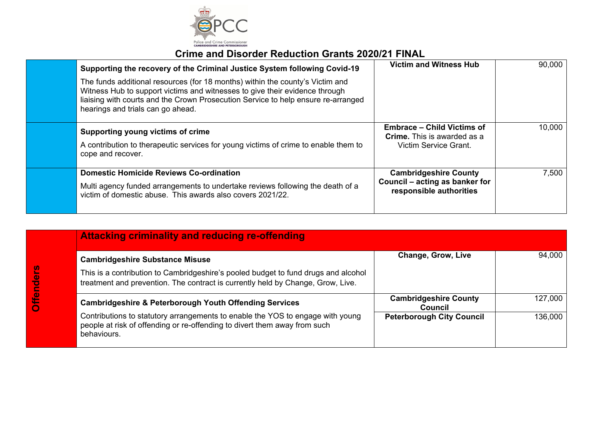

| Supporting the recovery of the Criminal Justice System following Covid-19                                                                                                                                                                                                              | <b>Victim and Witness Hub</b>                                                                    | 90,000 |
|----------------------------------------------------------------------------------------------------------------------------------------------------------------------------------------------------------------------------------------------------------------------------------------|--------------------------------------------------------------------------------------------------|--------|
| The funds additional resources (for 18 months) within the county's Victim and<br>Witness Hub to support victims and witnesses to give their evidence through<br>liaising with courts and the Crown Prosecution Service to help ensure re-arranged<br>hearings and trials can go ahead. |                                                                                                  |        |
| <b>Supporting young victims of crime</b><br>A contribution to therapeutic services for young victims of crime to enable them to<br>cope and recover.                                                                                                                                   | <b>Embrace - Child Victims of</b><br><b>Crime.</b> This is awarded as a<br>Victim Service Grant. | 10,000 |
| <b>Domestic Homicide Reviews Co-ordination</b><br>Multi agency funded arrangements to undertake reviews following the death of a<br>victim of domestic abuse. This awards also covers 2021/22.                                                                                         | <b>Cambridgeshire County</b><br>Council – acting as banker for<br>responsible authorities        | 7,500  |

|        | <b>Attacking criminality and reducing re-offending</b>                                                                                                                     |                                                |         |
|--------|----------------------------------------------------------------------------------------------------------------------------------------------------------------------------|------------------------------------------------|---------|
|        | <b>Cambridgeshire Substance Misuse</b>                                                                                                                                     | <b>Change, Grow, Live</b>                      | 94,000  |
| enders | This is a contribution to Cambridgeshire's pooled budget to fund drugs and alcohol<br>treatment and prevention. The contract is currently held by Change, Grow, Live.      |                                                |         |
|        | <b>Cambridgeshire &amp; Peterborough Youth Offending Services</b>                                                                                                          | <b>Cambridgeshire County</b><br><b>Council</b> | 127,000 |
|        | Contributions to statutory arrangements to enable the YOS to engage with young<br>people at risk of offending or re-offending to divert them away from such<br>behaviours. | <b>Peterborough City Council</b>               | 136,000 |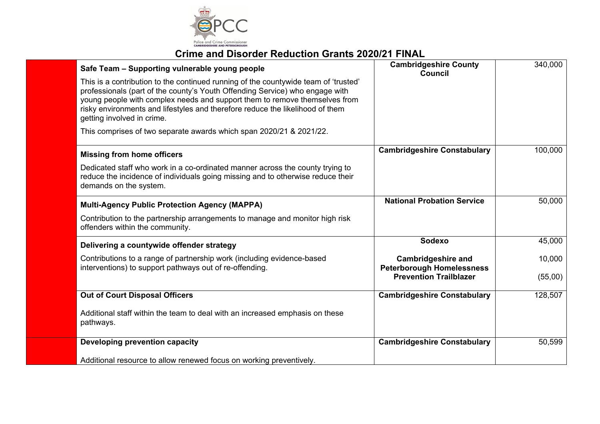

| Safe Team - Supporting vulnerable young people                                                                                                                                                                                                                                                                                                                   | <b>Cambridgeshire County</b><br>Council                           | 340,000 |
|------------------------------------------------------------------------------------------------------------------------------------------------------------------------------------------------------------------------------------------------------------------------------------------------------------------------------------------------------------------|-------------------------------------------------------------------|---------|
| This is a contribution to the continued running of the countywide team of 'trusted'<br>professionals (part of the county's Youth Offending Service) who engage with<br>young people with complex needs and support them to remove themselves from<br>risky environments and lifestyles and therefore reduce the likelihood of them<br>getting involved in crime. |                                                                   |         |
| This comprises of two separate awards which span 2020/21 & 2021/22.                                                                                                                                                                                                                                                                                              |                                                                   |         |
| <b>Missing from home officers</b>                                                                                                                                                                                                                                                                                                                                | <b>Cambridgeshire Constabulary</b>                                | 100,000 |
| Dedicated staff who work in a co-ordinated manner across the county trying to<br>reduce the incidence of individuals going missing and to otherwise reduce their<br>demands on the system.                                                                                                                                                                       |                                                                   |         |
| <b>Multi-Agency Public Protection Agency (MAPPA)</b>                                                                                                                                                                                                                                                                                                             | <b>National Probation Service</b>                                 | 50,000  |
| Contribution to the partnership arrangements to manage and monitor high risk<br>offenders within the community.                                                                                                                                                                                                                                                  |                                                                   |         |
| Delivering a countywide offender strategy                                                                                                                                                                                                                                                                                                                        | Sodexo                                                            | 45,000  |
| Contributions to a range of partnership work (including evidence-based                                                                                                                                                                                                                                                                                           | <b>Cambridgeshire and</b>                                         | 10,000  |
| interventions) to support pathways out of re-offending.                                                                                                                                                                                                                                                                                                          | <b>Peterborough Homelessness</b><br><b>Prevention Trailblazer</b> | (55,00) |
| <b>Out of Court Disposal Officers</b>                                                                                                                                                                                                                                                                                                                            | <b>Cambridgeshire Constabulary</b>                                | 128,507 |
| Additional staff within the team to deal with an increased emphasis on these<br>pathways.                                                                                                                                                                                                                                                                        |                                                                   |         |
| Developing prevention capacity                                                                                                                                                                                                                                                                                                                                   | <b>Cambridgeshire Constabulary</b>                                | 50,599  |
| Additional resource to allow renewed focus on working preventively.                                                                                                                                                                                                                                                                                              |                                                                   |         |